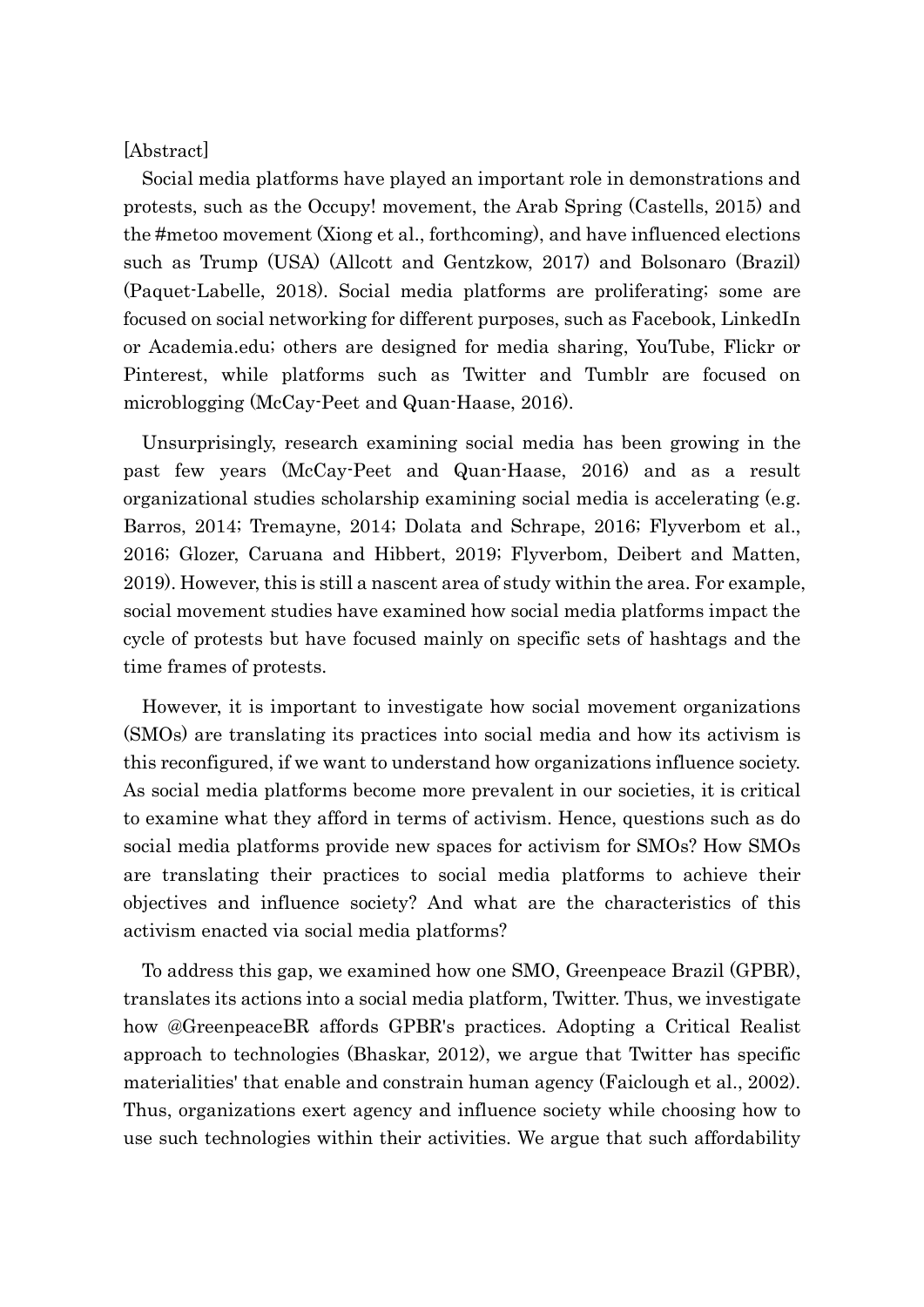## [Abstract]

 Social media platforms have played an important role in demonstrations and protests, such as the Occupy! movement, the Arab Spring (Castells, 2015) and the #metoo movement (Xiong et al., forthcoming), and have influenced elections such as Trump (USA) (Allcott and Gentzkow, 2017) and Bolsonaro (Brazil) (Paquet-Labelle, 2018). Social media platforms are proliferating; some are focused on social networking for different purposes, such as Facebook, LinkedIn or Academia.edu; others are designed for media sharing, YouTube, Flickr or Pinterest, while platforms such as Twitter and Tumblr are focused on microblogging (McCay-Peet and Quan-Haase, 2016).

 Unsurprisingly, research examining social media has been growing in the past few years (McCay-Peet and Quan-Haase, 2016) and as a result organizational studies scholarship examining social media is accelerating (e.g. Barros, 2014; Tremayne, 2014; Dolata and Schrape, 2016; Flyverbom et al., 2016; Glozer, Caruana and Hibbert, 2019; Flyverbom, Deibert and Matten, 2019). However, this is still a nascent area of study within the area. For example, social movement studies have examined how social media platforms impact the cycle of protests but have focused mainly on specific sets of hashtags and the time frames of protests.

 However, it is important to investigate how social movement organizations (SMOs) are translating its practices into social media and how its activism is this reconfigured, if we want to understand how organizations influence society. As social media platforms become more prevalent in our societies, it is critical to examine what they afford in terms of activism. Hence, questions such as do social media platforms provide new spaces for activism for SMOs? How SMOs are translating their practices to social media platforms to achieve their objectives and influence society? And what are the characteristics of this activism enacted via social media platforms?

 To address this gap, we examined how one SMO, Greenpeace Brazil (GPBR), translates its actions into a social media platform, Twitter. Thus, we investigate how @GreenpeaceBR affords GPBR's practices. Adopting a Critical Realist approach to technologies (Bhaskar, 2012), we argue that Twitter has specific materialities' that enable and constrain human agency (Faiclough et al., 2002). Thus, organizations exert agency and influence society while choosing how to use such technologies within their activities. We argue that such affordability